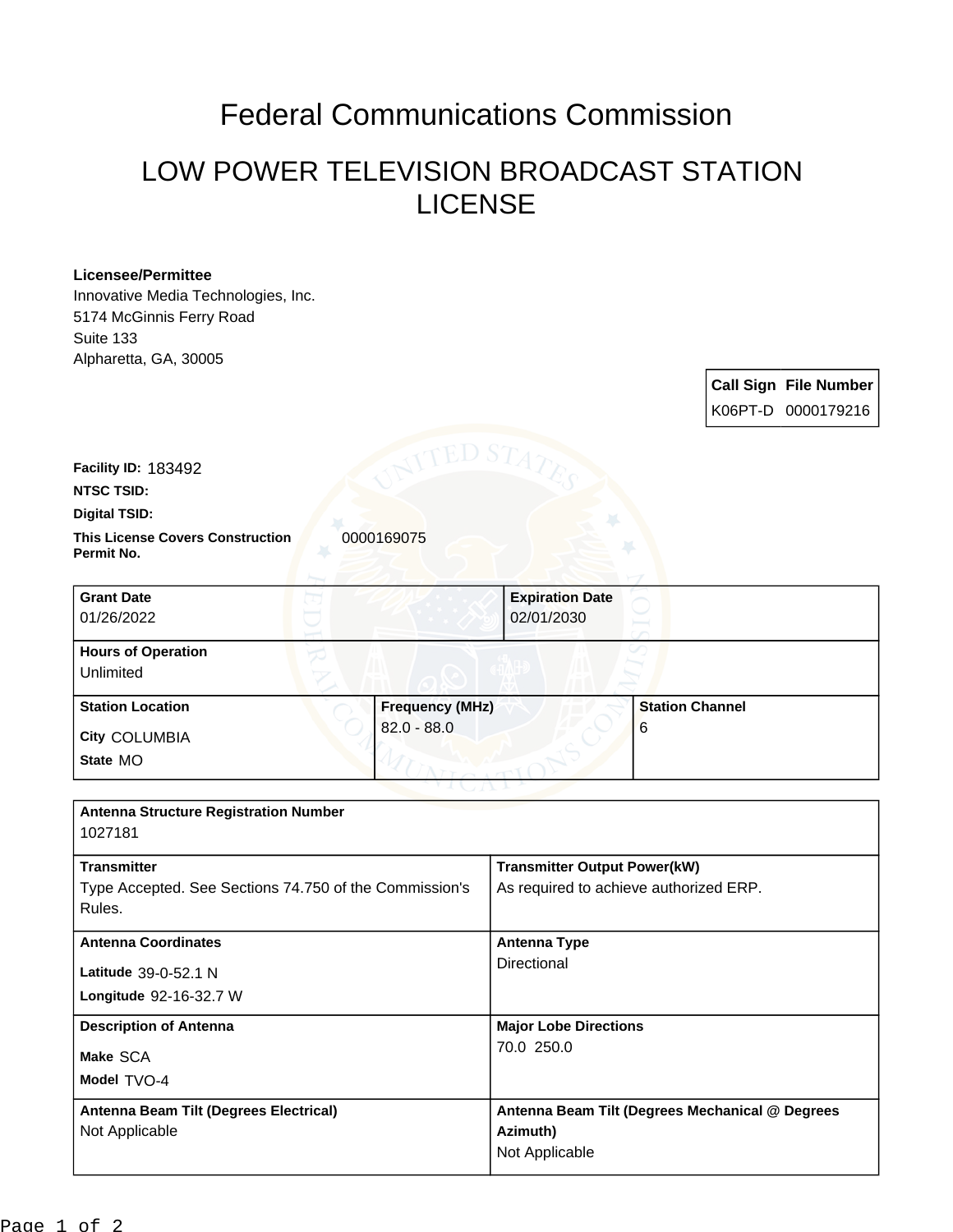# Federal Communications Commission

## LOW POWER TELEVISION BROADCAST STATION LICENSE

### **Licensee/Permittee**

Innovative Media Technologies, Inc. 5174 McGinnis Ferry Road Suite 133 Alpharetta, GA, 30005

> **Call Sign File Number** K06PT-D 0000179216

**Facility ID:** 183492

**NTSC TSID:**

#### **Digital TSID:**

**This License Covers Construction 0000169075 Permit No.**

| <b>Grant Date</b><br>01/26/2022        |                        | <b>Expiration Date</b><br>02/01/2030 |                        |
|----------------------------------------|------------------------|--------------------------------------|------------------------|
| <b>Hours of Operation</b><br>Unlimited |                        |                                      |                        |
| <b>Station Location</b>                | <b>Frequency (MHz)</b> |                                      | <b>Station Channel</b> |
| <b>City COLUMBIA</b>                   | $82.0 - 88.0$          |                                      | 6                      |
| State MO                               |                        |                                      |                        |

| <b>Antenna Structure Registration Number</b><br>1027181          |                                                 |  |
|------------------------------------------------------------------|-------------------------------------------------|--|
| <b>Transmitter</b>                                               | <b>Transmitter Output Power(kW)</b>             |  |
| Type Accepted. See Sections 74.750 of the Commission's<br>Rules. | As required to achieve authorized ERP.          |  |
| <b>Antenna Coordinates</b>                                       | <b>Antenna Type</b>                             |  |
| Latitude 39-0-52.1 N                                             | Directional                                     |  |
| Longitude 92-16-32.7 W                                           |                                                 |  |
| <b>Description of Antenna</b>                                    | <b>Major Lobe Directions</b>                    |  |
| Make SCA                                                         | 70.0 250.0                                      |  |
| Model TVO-4                                                      |                                                 |  |
| Antenna Beam Tilt (Degrees Electrical)                           | Antenna Beam Tilt (Degrees Mechanical @ Degrees |  |
| Not Applicable                                                   | Azimuth)                                        |  |
|                                                                  | Not Applicable                                  |  |